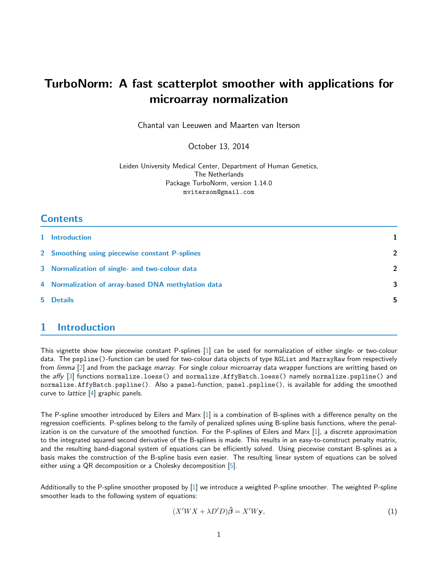# TurboNorm: A fast scatterplot smoother with applications for microarray normalization

Chantal van Leeuwen and Maarten van Iterson

October 13, 2014

Leiden University Medical Center, Department of Human Genetics, The Netherlands Package TurboNorm, version 1.14.0 mviterson@gmail.com

# **Contents**

| 1 Introduction                                      | 1              |
|-----------------------------------------------------|----------------|
| 2 Smoothing using piecewise constant P-splines      | $\overline{2}$ |
| 3 Normalization of single- and two-colour data      | $\overline{2}$ |
| 4 Normalization of array-based DNA methylation data | 3              |
| 5 Details                                           | 5              |

# <span id="page-0-0"></span>1 Introduction

This vignette show how piecewise constant P-splines [\[1\]](#page-4-0) can be used for normalization of either single- or two-colour data. The pspline()-function can be used for two-colour data objects of type RGList and MarrayRaw from respectively from *limma* [\[2\]](#page-4-1) and from the package *marray*. For single colour microarray data wrapper functions are writting based on the affy [\[3\]](#page-5-0) functions normalize.loess() and normalize.AffyBatch.loess() namely normalize.pspline() and normalize.AffyBatch.pspline(). Also a panel-function, panel.pspline(), is available for adding the smoothed curve to *lattice* [\[4\]](#page-5-1) graphic panels.

The P-spline smoother introduced by Eilers and Marx [\[1\]](#page-4-0) is a combination of B-splines with a difference penalty on the regression coefficients. P-splines belong to the family of penalized splines using B-spline basis functions, where the penalization is on the curvature of the smoothed function. For the P-splines of Eilers and Marx [\[1\]](#page-4-0), a discrete approximation to the integrated squared second derivative of the B-splines is made. This results in an easy-to-construct penalty matrix, and the resulting band-diagonal system of equations can be efficiently solved. Using piecewise constant B-splines as a basis makes the construction of the B-spline basis even easier. The resulting linear system of equations can be solved either using a QR decomposition or a Cholesky decomposition [\[5\]](#page-5-2).

Additionally to the P-spline smoother proposed by [\[1\]](#page-4-0) we introduce a weighted P-spline smoother. The weighted P-spline smoother leads to the following system of equations:

$$
(X'WX + \lambda D'D)\hat{\boldsymbol{\beta}} = X'W\mathbf{y},\tag{1}
$$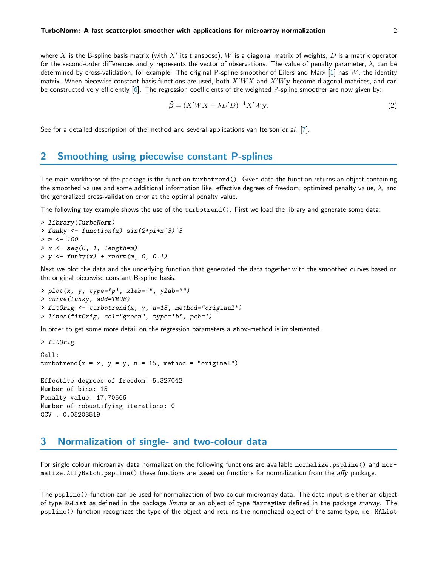where  $X$  is the B-spline basis matrix (with  $X'$  its transpose),  $W$  is a diagonal matrix of weights,  $D$  is a matrix operator for the second-order differences and y represents the vector of observations. The value of penalty parameter,  $\lambda$ , can be determined by cross-validation, for example. The original P-spline smoother of Eilers and Marx  $[1]$  has  $W$ , the identity matrix. When piecewise constant basis functions are used, both  $X'WX$  and  $X'Wy$  become diagonal matrices, and can be constructed very efficiently [\[6\]](#page-5-3). The regression coefficients of the weighted P-spline smoother are now given by:

$$
\hat{\boldsymbol{\beta}} = (X'WX + \lambda D'D)^{-1}X'W\mathbf{y}.
$$
\n(2)

See for a detailed description of the method and several applications van Iterson et al. [\[7\]](#page-5-4).

#### <span id="page-1-0"></span>2 Smoothing using piecewise constant P-splines

The main workhorse of the package is the function turbotrend(). Given data the function returns an object containing the smoothed values and some additional information like, effective degrees of freedom, optimized penalty value,  $\lambda$ , and the generalized cross-validation error at the optimal penalty value.

The following toy example shows the use of the turbotrend(). First we load the library and generate some data:

```
> library(TurboNorm)
> funky <- function(x) sin(2*pi*x^3)^3
> m < - 100> x \leftarrow seq(0, 1, length=m)> y \leq funky(x) + rnorm(m, 0, 0.1)
```
Next we plot the data and the underlying function that generated the data together with the smoothed curves based on the original piecewise constant B-spline basis.

```
> plot(x, y, type='p', xlab="", ylab="")
> curve(funky, add=TRUE)
> fitOrig \le turbotrend(x, y, n=15, method="original")> lines(fitOrig, col="green", type='b', pch=1)
```
In order to get some more detail on the regression parameters a show-method is implemented.

```
> fitOrig
```

```
Call:
turbotrend(x = x, y = y, n = 15, method = "original")Effective degrees of freedom: 5.327042
Number of bins: 15
Penalty value: 17.70566
Number of robustifying iterations: 0
GCV : 0.05203519
```
#### <span id="page-1-1"></span>3 Normalization of single- and two-colour data

For single colour microarray data normalization the following functions are available normalize.pspline() and normalize.AffyBatch.pspline() these functions are based on functions for normalization from the affy package.

The pspline()-function can be used for normalization of two-colour microarray data. The data input is either an object of type RGList as defined in the package limma or an object of type MarrayRaw defined in the package marray. The pspline()-function recognizes the type of the object and returns the normalized object of the same type, i.e. MAList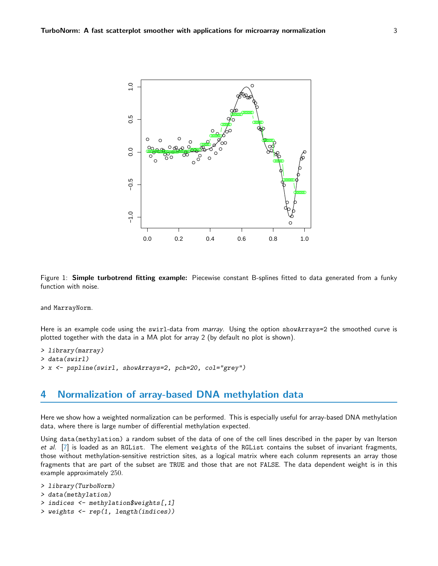

Figure 1: Simple turbotrend fitting example: Piecewise constant B-splines fitted to data generated from a funky function with noise.

and MarrayNorm.

Here is an example code using the swirl-data from marray. Using the option showArrays=2 the smoothed curve is plotted together with the data in a MA plot for array 2 (by default no plot is shown).

```
> library(marray)
> data(swirl)
> x <- pspline(swirl, showArrays=2, pch=20, col="grey")
```
### <span id="page-2-0"></span>4 Normalization of array-based DNA methylation data

Here we show how a weighted normalization can be performed. This is especially useful for array-based DNA methylation data, where there is large number of differential methylation expected.

Using data(methylation) a random subset of the data of one of the cell lines described in the paper by van Iterson et al. [\[7\]](#page-5-4) is loaded as an RGList. The element weights of the RGList contains the subset of invariant fragments, those without methylation-sensitive restriction sites, as a logical matrix where each colunm represents an array those fragments that are part of the subset are TRUE and those that are not FALSE. The data dependent weight is in this example approximately 250.

```
> library(TurboNorm)
> data(methylation)
> indices <- methylation$weights[,1]
> weights <- rep(1, length(indices))
```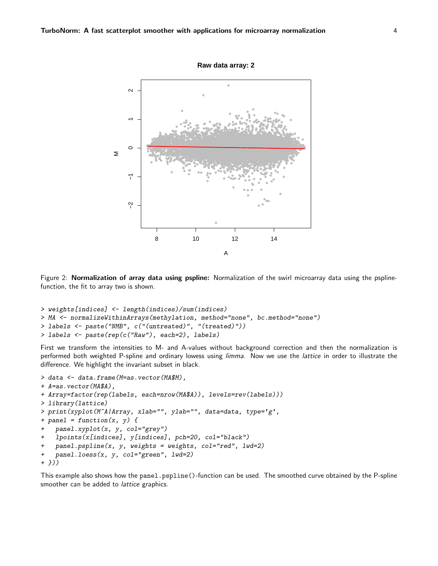

Figure 2: Normalization of array data using pspline: Normalization of the swirl microarray data using the psplinefunction, the fit to array two is shown.

```
> weights[indices] <- length(indices)/sum(indices)
> MA <- normalizeWithinArrays(methylation, method="none", bc.method="none")
> labels <- paste("NMB", c("(untreated)", "(treated)"))
> labels <- paste(rep(c("Raw"), each=2), labels)
```
First we transform the intensities to M- and A-values without background correction and then the normalization is performed both weighted P-spline and ordinary lowess using limma. Now we use the lattice in order to illustrate the difference. We highlight the invariant subset in black.

```
> data <- data.frame(M=as.vector(MA$M),
+ A=as.vector(MA$A),
+ Array=factor(rep(labels, each=nrow(MA$A)), levels=rev(labels)))
> library(lattice)
> print(xyplot(M~A|Array, xlab="", ylab="", data=data, type='g',
+ panel = function(x, y) {
    panel.xyplot(x, y, col='grey")lpoints(x[indices], y[indices], pch=20, col="black")
    panel.psplit(x, y, weights = weights, col="red", lwd=2)\overline{1}\overline{1}panel. loess(x, y, col="green", lw=2)+ \})
```
<span id="page-3-0"></span>This example also shows how the panel.pspline()-function can be used. The smoothed curve obtained by the P-spline smoother can be added to *lattice* graphics.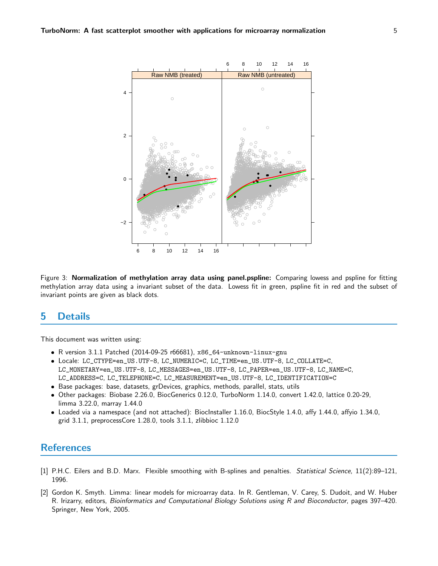

Figure 3: Normalization of methylation array data using panel.pspline: Comparing lowess and pspline for fitting methylation array data using a invariant subset of the data. Lowess fit in green, pspline fit in red and the subset of invariant points are given as black dots.

#### 5 **Details**

This document was written using:

- R version 3.1.1 Patched (2014-09-25 r66681), x86\_64-unknown-linux-gnu
- · Locale: LC\_CTYPE=en\_US.UTF-8, LC\_NUMERIC=C, LC\_TIME=en\_US.UTF-8, LC\_COLLATE=C, LC\_MONETARY=en\_US.UTF-8, LC\_MESSAGES=en\_US.UTF-8, LC\_PAPER=en\_US.UTF-8, LC\_NAME=C, LC\_ADDRESS=C, LC\_TELEPHONE=C, LC\_MEASUREMENT=en\_US.UTF-8, LC\_IDENTIFICATION=C
- Base packages: base, datasets, grDevices, graphics, methods, parallel, stats, utils
- · Other packages: Biobase 2.26.0, BiocGenerics 0.12.0, TurboNorm 1.14.0, convert 1.42.0, lattice 0.20-29, limma 3.22.0, marray 1.44.0
- Loaded via a namespace (and not attached): BiocInstaller 1.16.0, BiocStyle 1.4.0, affy 1.44.0, affyio 1.34.0, grid 3.1.1, preprocessCore 1.28.0, tools 3.1.1, zlibbioc 1.12.0

# **References**

- <span id="page-4-0"></span>[1] P.H.C. Eilers and B.D. Marx. Flexible smoothing with B-splines and penalties. Statistical Science, 11(2):89-121, 1996.
- <span id="page-4-1"></span>[2] Gordon K. Smyth. Limma: linear models for microarray data. In R. Gentleman, V. Carey, S. Dudoit, and W. Huber R. Irizarry, editors, Bioinformatics and Computational Biology Solutions using R and Bioconductor, pages 397-420. Springer, New York, 2005.